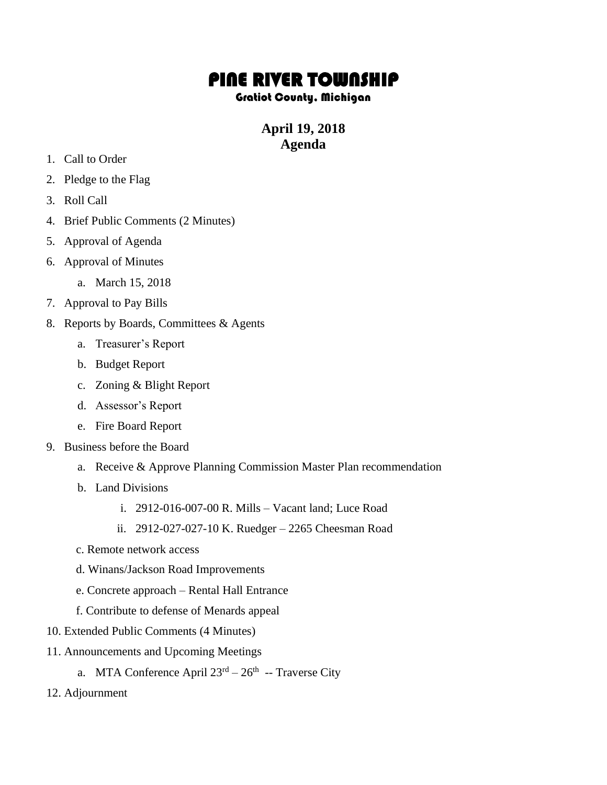# PINE RIVER TOWNSHIP

### Gratiot County, Michigan

## **April 19, 2018 Agenda**

- 1. Call to Order
- 2. Pledge to the Flag
- 3. Roll Call
- 4. Brief Public Comments (2 Minutes)
- 5. Approval of Agenda
- 6. Approval of Minutes
	- a. March 15, 2018
- 7. Approval to Pay Bills
- 8. Reports by Boards, Committees & Agents
	- a. Treasurer's Report
	- b. Budget Report
	- c. Zoning & Blight Report
	- d. Assessor's Report
	- e. Fire Board Report
- 9. Business before the Board
	- a. Receive & Approve Planning Commission Master Plan recommendation
	- b. Land Divisions
		- i. 2912-016-007-00 R. Mills Vacant land; Luce Road
		- ii. 2912-027-027-10 K. Ruedger 2265 Cheesman Road
	- c. Remote network access
	- d. Winans/Jackson Road Improvements
	- e. Concrete approach Rental Hall Entrance
	- f. Contribute to defense of Menards appeal
- 10. Extended Public Comments (4 Minutes)
- 11. Announcements and Upcoming Meetings
	- a. MTA Conference April  $23^{rd} 26^{th}$  -- Traverse City
- 12. Adjournment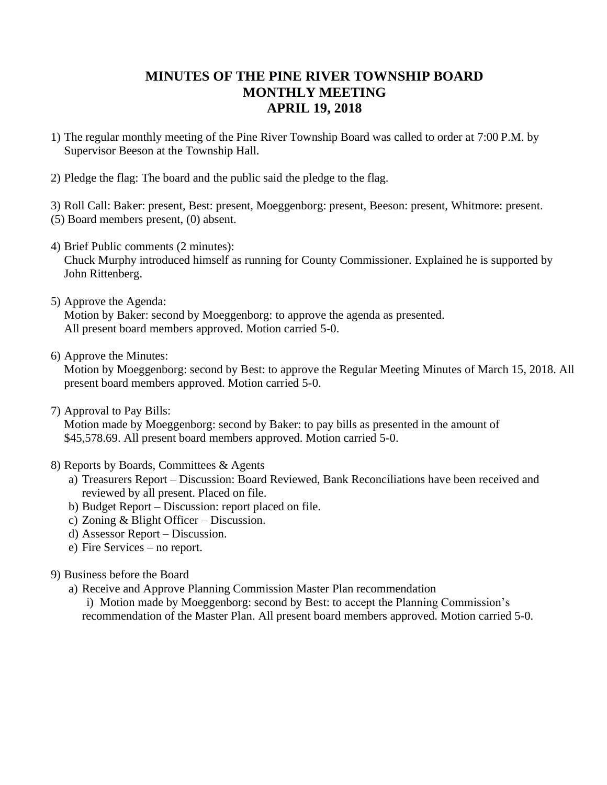## **MINUTES OF THE PINE RIVER TOWNSHIP BOARD MONTHLY MEETING APRIL 19, 2018**

- 1) The regular monthly meeting of the Pine River Township Board was called to order at 7:00 P.M. by Supervisor Beeson at the Township Hall.
- 2) Pledge the flag: The board and the public said the pledge to the flag.

3) Roll Call: Baker: present, Best: present, Moeggenborg: present, Beeson: present, Whitmore: present. (5) Board members present, (0) absent.

4) Brief Public comments (2 minutes):

Chuck Murphy introduced himself as running for County Commissioner. Explained he is supported by John Rittenberg.

5) Approve the Agenda:

Motion by Baker: second by Moeggenborg: to approve the agenda as presented. All present board members approved. Motion carried 5-0.

6) Approve the Minutes:

Motion by Moeggenborg: second by Best: to approve the Regular Meeting Minutes of March 15, 2018. All present board members approved. Motion carried 5-0.

7) Approval to Pay Bills:

Motion made by Moeggenborg: second by Baker: to pay bills as presented in the amount of \$45,578.69. All present board members approved. Motion carried 5-0.

- 8) Reports by Boards, Committees & Agents
	- a) Treasurers Report Discussion: Board Reviewed, Bank Reconciliations have been received and reviewed by all present. Placed on file.
	- b) Budget Report Discussion: report placed on file.
	- c) Zoning & Blight Officer Discussion.
	- d) Assessor Report Discussion.
	- e) Fire Services no report.
- 9) Business before the Board
	- a) Receive and Approve Planning Commission Master Plan recommendation

i) Motion made by Moeggenborg: second by Best: to accept the Planning Commission's recommendation of the Master Plan. All present board members approved. Motion carried 5-0.